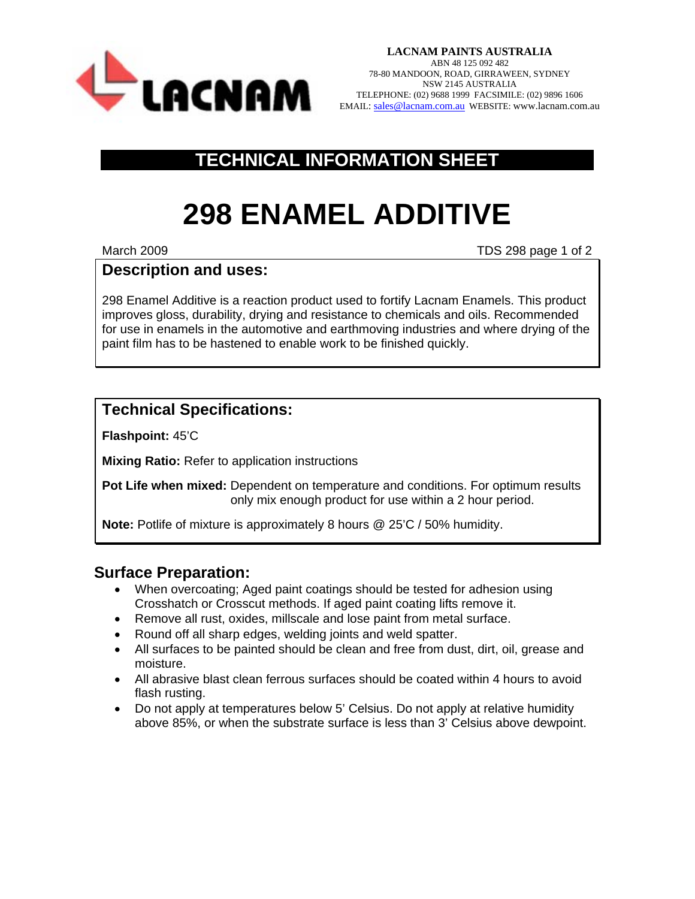

**LACNAM PAINTS AUSTRALIA**  ABN 48 125 092 482 78-80 MANDOON, ROAD, GIRRAWEEN, SYDNEY NSW 2145 AUSTRALIA TELEPHONE: (02) 9688 1999 FACSIMILE: (02) 9896 1606 EMAIL: [sales@lacnam.com.au](mailto:sales@lacnam.com.au) WEBSITE: www.lacnam.com.au

## **TECHNICAL INFORMATION SHEET**

# **298 ENAMEL ADDITIVE**

March 2009 **March 2009** TDS 298 page 1 of 2

### **Description and uses:**

298 Enamel Additive is a reaction product used to fortify Lacnam Enamels. This product improves gloss, durability, drying and resistance to chemicals and oils. Recommended for use in enamels in the automotive and earthmoving industries and where drying of the paint film has to be hastened to enable work to be finished quickly.

### **Technical Specifications:**

**Flashpoint:** 45'C

**Mixing Ratio:** Refer to application instructions

**Pot Life when mixed:** Dependent on temperature and conditions. For optimum results only mix enough product for use within a 2 hour period.

**Note:** Potlife of mixture is approximately 8 hours @ 25'C / 50% humidity.

### **Surface Preparation:**

- When overcoating; Aged paint coatings should be tested for adhesion using Crosshatch or Crosscut methods. If aged paint coating lifts remove it.
- Remove all rust, oxides, millscale and lose paint from metal surface.
- Round off all sharp edges, welding joints and weld spatter.
- All surfaces to be painted should be clean and free from dust, dirt, oil, grease and moisture.
- All abrasive blast clean ferrous surfaces should be coated within 4 hours to avoid flash rusting.
- Do not apply at temperatures below 5' Celsius. Do not apply at relative humidity above 85%, or when the substrate surface is less than 3' Celsius above dewpoint.